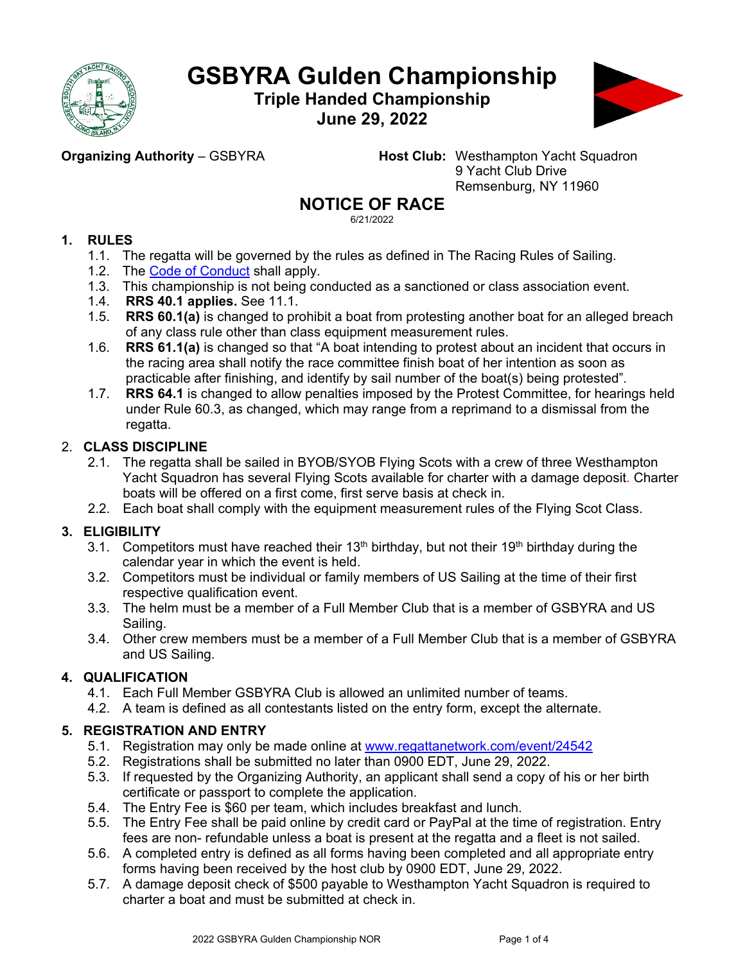

# **GSBYRA Gulden Championship**

**Triple Handed Championship June 29, 2022**



**Organizing Authority** – GSBYRA **Host Club:** Westhampton Yacht Squadron 9 Yacht Club Drive Remsenburg, NY 11960

# **NOTICE OF RACE**

6/21/2022

# **1. RULES**

- 1.1. The regatta will be governed by the rules as defined in The Racing Rules of Sailing.
- 1.2. The Code of [Conduct](https://www.ussailing.org/wp-content/uploads/2018/01/FinalChampionships_CodeofConduct3-21-17.pdf) shall apply.
- 1.3. This championship is not being conducted as a sanctioned or class association event.
- 1.4. **RRS 40.1 applies.** See 11.1.
- 1.5. **RRS 60.1(a)** is changed to prohibit a boat from protesting another boat for an alleged breach of any class rule other than class equipment measurement rules.
- 1.6. **RRS 61.1(a)** is changed so that "A boat intending to protest about an incident that occurs in the racing area shall notify the race committee finish boat of her intention as soon as practicable after finishing, and identify by sail number of the boat(s) being protested".
- 1.7. **RRS 64.1** is changed to allow penalties imposed by the Protest Committee, for hearings held under Rule 60.3, as changed, which may range from a reprimand to a dismissal from the regatta.

# 2. **CLASS DISCIPLINE**

- 2.1. The regatta shall be sailed in BYOB/SYOB Flying Scots with a crew of three Westhampton Yacht Squadron has several Flying Scots available for charter with a damage deposit. Charter boats will be offered on a first come, first serve basis at check in.
- 2.2. Each boat shall comply with the equipment measurement rules of the Flying Scot Class.

# **3. ELIGIBILITY**

- 3.1. Competitors must have reached their  $13<sup>th</sup>$  birthday, but not their  $19<sup>th</sup>$  birthday during the calendar year in which the event is held.
- 3.2. Competitors must be individual or family members of US Sailing at the time of their first respective qualification event.
- 3.3. The helm must be a member of a Full Member Club that is a member of GSBYRA and US Sailing.
- 3.4. Other crew members must be a member of a Full Member Club that is a member of GSBYRA and US Sailing.

# **4. QUALIFICATION**

- 4.1. Each Full Member GSBYRA Club is allowed an unlimited number of teams.
- 4.2. A team is defined as all contestants listed on the entry form, except the alternate.

# **5. REGISTRATION AND ENTRY**

- 5.1. Registration may only be made online at [www.regattanetwork.com/event/24](http://www.regattanetwork.com/event/2)542
- 5.2. Registrations shall be submitted no later than 0900 EDT, June 29, 2022.
- 5.3. If requested by the Organizing Authority, an applicant shall send a copy of his or her birth certificate or passport to complete the application.
- 5.4. The Entry Fee is \$60 per team, which includes breakfast and lunch.
- 5.5. The Entry Fee shall be paid online by credit card or PayPal at the time of registration. Entry fees are non- refundable unless a boat is present at the regatta and a fleet is not sailed.
- 5.6. A completed entry is defined as all forms having been completed and all appropriate entry forms having been received by the host club by 0900 EDT, June 29, 2022.
- 5.7. A damage deposit check of \$500 payable to Westhampton Yacht Squadron is required to charter a boat and must be submitted at check in.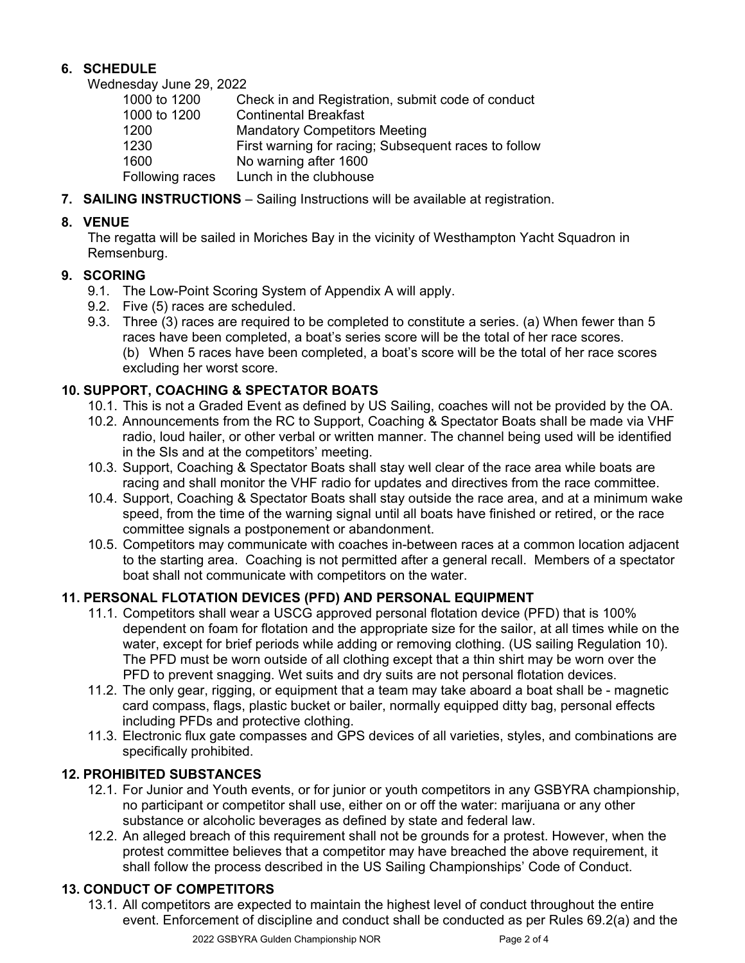# **6. SCHEDULE**

Wednesday June 29, 2022

| 1000 to 1200    | Check in and Registration, submit code of conduct    |
|-----------------|------------------------------------------------------|
| 1000 to 1200    | <b>Continental Breakfast</b>                         |
| 1200            | <b>Mandatory Competitors Meeting</b>                 |
| 1230            | First warning for racing; Subsequent races to follow |
| 1600            | No warning after 1600                                |
| Following races | Lunch in the clubhouse                               |

**7. SAILING INSTRUCTIONS** – Sailing Instructions will be available at registration.

## **8. VENUE**

The regatta will be sailed in Moriches Bay in the vicinity of Westhampton Yacht Squadron in Remsenburg.

## **9. SCORING**

- 9.1. The Low-Point Scoring System of Appendix A will apply.
- 9.2. Five (5) races are scheduled.
- 9.3. Three (3) races are required to be completed to constitute a series. (a) When fewer than 5 races have been completed, a boat's series score will be the total of her race scores. (b) When 5 races have been completed, a boat's score will be the total of her race scores excluding her worst score.

# **10. SUPPORT, COACHING & SPECTATOR BOATS**

- 10.1. This is not a Graded Event as defined by US Sailing, coaches will not be provided by the OA.
- 10.2. Announcements from the RC to Support, Coaching & Spectator Boats shall be made via VHF radio, loud hailer, or other verbal or written manner. The channel being used will be identified in the SIs and at the competitors' meeting.
- 10.3. Support, Coaching & Spectator Boats shall stay well clear of the race area while boats are racing and shall monitor the VHF radio for updates and directives from the race committee.
- 10.4. Support, Coaching & Spectator Boats shall stay outside the race area, and at a minimum wake speed, from the time of the warning signal until all boats have finished or retired, or the race committee signals a postponement or abandonment.
- 10.5. Competitors may communicate with coaches in-between races at a common location adjacent to the starting area. Coaching is not permitted after a general recall. Members of a spectator boat shall not communicate with competitors on the water.

# **11. PERSONAL FLOTATION DEVICES (PFD) AND PERSONAL EQUIPMENT**

- 11.1. Competitors shall wear a USCG approved personal flotation device (PFD) that is 100% dependent on foam for flotation and the appropriate size for the sailor, at all times while on the water, except for brief periods while adding or removing clothing. (US sailing Regulation 10). The PFD must be worn outside of all clothing except that a thin shirt may be worn over the PFD to prevent snagging. Wet suits and dry suits are not personal flotation devices.
- 11.2. The only gear, rigging, or equipment that a team may take aboard a boat shall be magnetic card compass, flags, plastic bucket or bailer, normally equipped ditty bag, personal effects including PFDs and protective clothing.
- 11.3. Electronic flux gate compasses and GPS devices of all varieties, styles, and combinations are specifically prohibited.

# **12. PROHIBITED SUBSTANCES**

- 12.1. For Junior and Youth events, or for junior or youth competitors in any GSBYRA championship, no participant or competitor shall use, either on or off the water: marijuana or any other substance or alcoholic beverages as defined by state and federal law.
- 12.2. An alleged breach of this requirement shall not be grounds for a protest. However, when the protest committee believes that a competitor may have breached the above requirement, it shall follow the process described in the US Sailing Championships' Code of Conduct.

# **13. CONDUCT OF COMPETITORS**

13.1. All competitors are expected to maintain the highest level of conduct throughout the entire event. Enforcement of discipline and conduct shall be conducted as per Rules 69.2(a) and the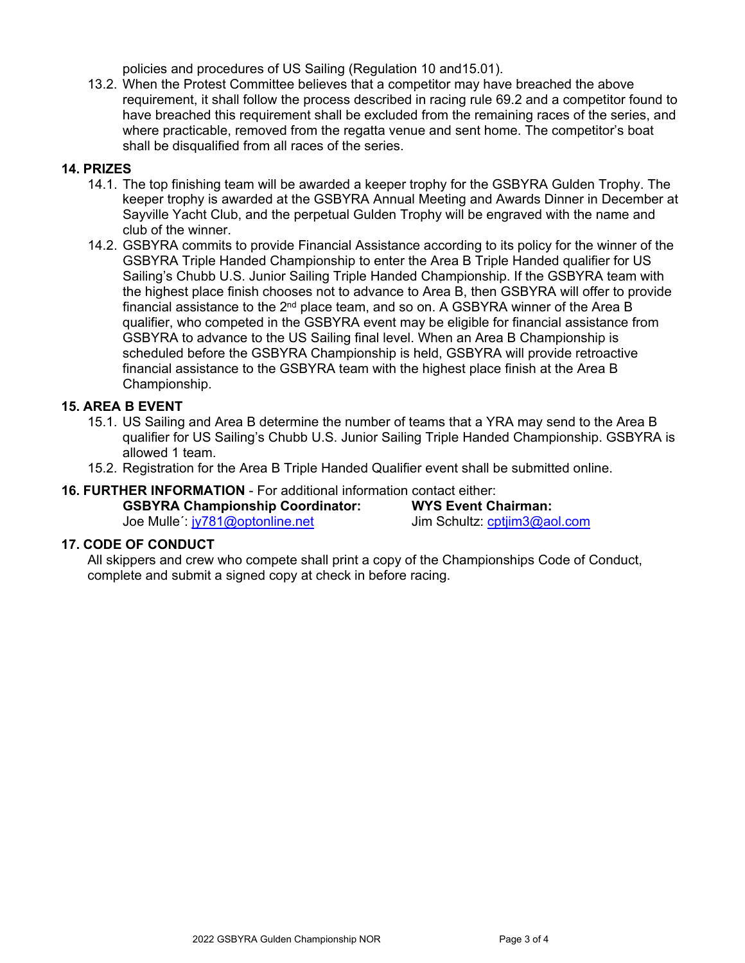policies and procedures of US Sailing (Regulation 10 and15.01).

13.2. When the Protest Committee believes that a competitor may have breached the above requirement, it shall follow the process described in racing rule 69.2 and a competitor found to have breached this requirement shall be excluded from the remaining races of the series, and where practicable, removed from the regatta venue and sent home. The competitor's boat shall be disqualified from all races of the series.

## **14. PRIZES**

- 14.1. The top finishing team will be awarded a keeper trophy for the GSBYRA Gulden Trophy. The keeper trophy is awarded at the GSBYRA Annual Meeting and Awards Dinner in December at Sayville Yacht Club, and the perpetual Gulden Trophy will be engraved with the name and club of the winner.
- 14.2. GSBYRA commits to provide Financial Assistance according to its policy for the winner of the GSBYRA Triple Handed Championship to enter the Area B Triple Handed qualifier for US Sailing's Chubb U.S. Junior Sailing Triple Handed Championship. If the GSBYRA team with the highest place finish chooses not to advance to Area B, then GSBYRA will offer to provide financial assistance to the  $2<sup>nd</sup>$  place team, and so on. A GSBYRA winner of the Area B qualifier, who competed in the GSBYRA event may be eligible for financial assistance from GSBYRA to advance to the US Sailing final level. When an Area B Championship is scheduled before the GSBYRA Championship is held, GSBYRA will provide retroactive financial assistance to the GSBYRA team with the highest place finish at the Area B Championship.

## **15. AREA B EVENT**

- 15.1. US Sailing and Area B determine the number of teams that a YRA may send to the Area B qualifier for US Sailing's Chubb U.S. Junior Sailing Triple Handed Championship. GSBYRA is allowed 1 team.
- 15.2. Registration for the Area B Triple Handed Qualifier event shall be submitted online.

## **16. FURTHER INFORMATION** - For additional information contact either:

| <b>GSBYRA Championship Coordinator:</b> |
|-----------------------------------------|
|                                         |

Joe Mulle': [jy781@optonline.net](mailto:jy781@optonline.net)

**WYS Event Chairman:**<br>Jim Schultz: cptjim3@aol.com

## **17. CODE OF CONDUCT**

All skippers and crew who compete shall print a copy of the Championships Code of Conduct, complete and submit a signed copy at check in before racing.